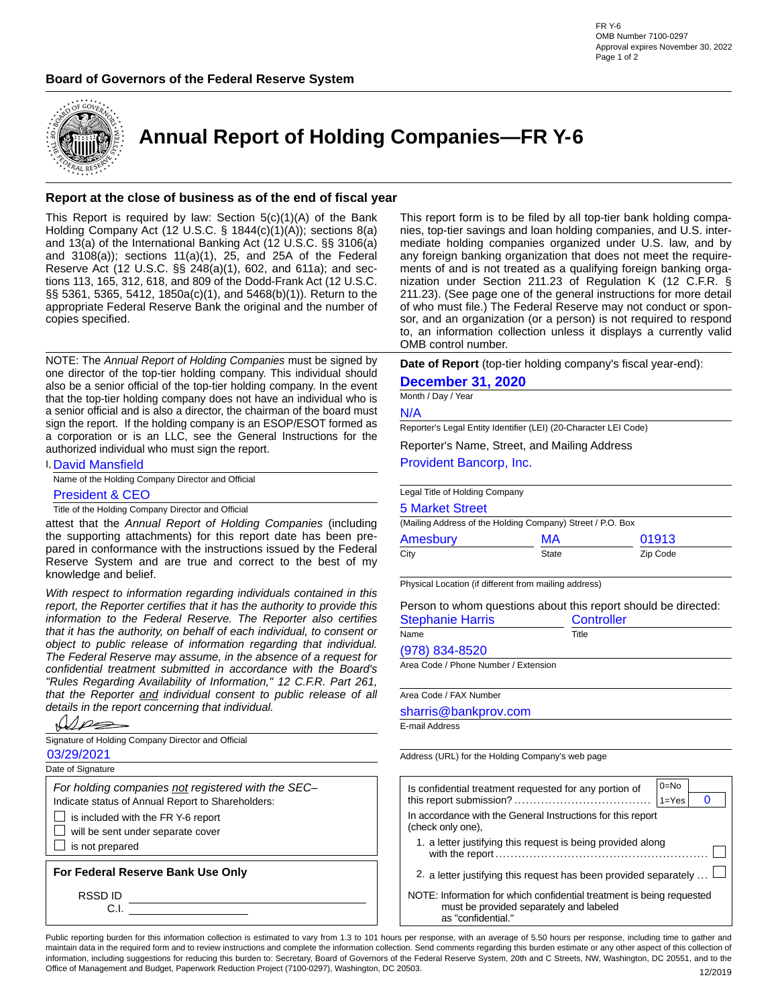



**Annual Report of Holding Companies—FR Y-6**

#### **Report at the close of business as of the end of fiscal year**

This Report is required by law: Section  $5(c)(1)(A)$  of the Bank Holding Company Act (12 U.S.C. § 1844(c)(1)(A)); sections 8(a) and 13(a) of the International Banking Act (12 U.S.C. §§ 3106(a) and 3108(a)); sections 11(a)(1), 25, and 25A of the Federal Reserve Act (12 U.S.C. §§ 248(a)(1), 602, and 611a); and sections 113, 165, 312, 618, and 809 of the Dodd-Frank Act (12 U.S.C. §§ 5361, 5365, 5412, 1850a(c)(1), and 5468(b)(1)). Return to the appropriate Federal Reserve Bank the original and the number of copies specified.

NOTE: The *Annual Report of Holding Companies* must be signed by one director of the top-tier holding company. This individual should also be a senior official of the top-tier holding company. In the event that the top-tier holding company does not have an individual who is a senior official and is also a director, the chairman of the board must sign the report. If the holding company is an ESOP/ESOT formed as a corporation or is an LLC, see the General Instructions for the authorized individual who must sign the report.

I, David Mansfield

Name of the Holding Company Director and Official

President & CEO

Title of the Holding Company Director and Official

attest that the *Annual Report of Holding Companies* (including the supporting attachments) for this report date has been prepared in conformance with the instructions issued by the Federal Reserve System and are true and correct to the best of my knowledge and belief.

*With respect to information regarding individuals contained in this report, the Reporter certifies that it has the authority to provide this information to the Federal Reserve. The Reporter also certifies that it has the authority, on behalf of each individual, to consent or object to public release of information regarding that individual. The Federal Reserve may assume, in the absence of a request for confidential treatment submitted in accordance with the Board's "Rules Regarding Availability of Information," 12 C.F.R. Part 261, that the Reporter and individual consent to public release of all details in the report concerning that individual.* also be a senior official of the top-tier holding company. In the event **December 31, 2020**<br>
that the top-tier holding company in the event **December 31, 2020**<br>
a senior official and is also a director, the charman of the

|--|

Signature of Holding Company Director and Official

Date of Signature

*For holding companies not registered with the SEC–* Indicate status of Annual Report to Shareholders:

 $\Box$  is included with the FR Y-6 report

 $\Box$  will be sent under separate cover

 $\Box$  is not prepared

**For Federal Reserve Bank Use Only**

RSSD ID

C.I.

This report form is to be filed by all top-tier bank holding companies, top-tier savings and loan holding companies, and U.S. intermediate holding companies organized under U.S. law, and by any foreign banking organization that does not meet the requirements of and is not treated as a qualifying foreign banking organization under Section 211.23 of Regulation K (12 C.F.R. § 211.23). (See page one of the general instructions for more detail of who must file.) The Federal Reserve may not conduct or sponsor, and an organization (or a person) is not required to respond to, an information collection unless it displays a currently valid OMB control number.

**Date of Report** (top-tier holding company's fiscal year-end):

Month / Day / Year

#### 5 Market Street

| N/A                                                              |                   |                                                                |  |  |  |  |  |  |  |
|------------------------------------------------------------------|-------------------|----------------------------------------------------------------|--|--|--|--|--|--|--|
| Reporter's Legal Entity Identifier (LEI) (20-Character LEI Code) |                   |                                                                |  |  |  |  |  |  |  |
| Reporter's Name, Street, and Mailing Address                     |                   |                                                                |  |  |  |  |  |  |  |
| Provident Bancorp, Inc.                                          |                   |                                                                |  |  |  |  |  |  |  |
| Legal Title of Holding Company                                   |                   |                                                                |  |  |  |  |  |  |  |
| <b>5 Market Street</b>                                           |                   |                                                                |  |  |  |  |  |  |  |
| (Mailing Address of the Holding Company) Street / P.O. Box       |                   |                                                                |  |  |  |  |  |  |  |
| Amesbury<br>MА<br>01913                                          |                   |                                                                |  |  |  |  |  |  |  |
| City                                                             | State             | Zip Code                                                       |  |  |  |  |  |  |  |
| Physical Location (if different from mailing address)            |                   |                                                                |  |  |  |  |  |  |  |
|                                                                  |                   | Person to whom questions about this report should be directed: |  |  |  |  |  |  |  |
| <b>Stephanie Harris</b>                                          | <b>Controller</b> |                                                                |  |  |  |  |  |  |  |
| Name                                                             | Title             |                                                                |  |  |  |  |  |  |  |
| $(978) 834 - 8520$                                               |                   |                                                                |  |  |  |  |  |  |  |
| Area Code / Phone Number / Extension                             |                   |                                                                |  |  |  |  |  |  |  |
|                                                                  |                   |                                                                |  |  |  |  |  |  |  |
| Area Code / FAX Number                                           |                   |                                                                |  |  |  |  |  |  |  |
| sharris@bankprov.com                                             |                   |                                                                |  |  |  |  |  |  |  |

E-mail Address

Address (URL) for the Holding Company's web page

| Is confidential treatment requested for any portion of                                                                                 | $0 = No$  |  |
|----------------------------------------------------------------------------------------------------------------------------------------|-----------|--|
|                                                                                                                                        | $1 = Yes$ |  |
| In accordance with the General Instructions for this report<br>(check only one),                                                       |           |  |
| 1. a letter justifying this request is being provided along                                                                            |           |  |
| 2. a letter justifying this request has been provided separately                                                                       |           |  |
| NOTE: Information for which confidential treatment is being requested<br>must be provided separately and labeled<br>as "confidential." |           |  |

Public reporting burden for this information collection is estimated to vary from 1.3 to 101 hours per response, with an average of 5.50 hours per response, including time to gather and maintain data in the required form and to review instructions and complete the information collection. Send comments regarding this burden estimate or any other aspect of this collection of information, including suggestions for reducing this burden to: Secretary, Board of Governors of the Federal Reserve System, 20th and C Streets, NW, Washington, DC 20551, and to the Office of Management and Budget, Paperwork Reduction Project (7100-0297), Washington, DC 20503. 12/2019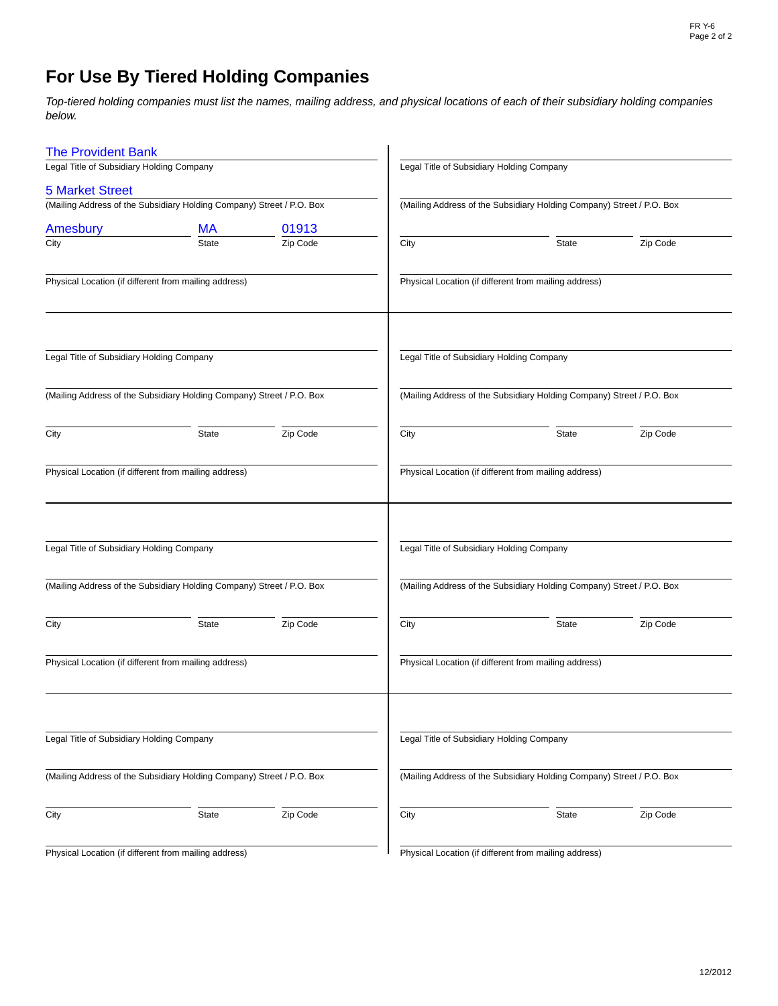# **For Use By Tiered Holding Companies**

*Top-tiered holding companies must list the names, mailing address, and physical locations of each of their subsidiary holding companies below.*

| <b>The Provident Bank</b>                             |                                                                       |          |                                           |                                                                       |          |  |  |  |  |  |
|-------------------------------------------------------|-----------------------------------------------------------------------|----------|-------------------------------------------|-----------------------------------------------------------------------|----------|--|--|--|--|--|
| Legal Title of Subsidiary Holding Company             |                                                                       |          | Legal Title of Subsidiary Holding Company |                                                                       |          |  |  |  |  |  |
| <b>5 Market Street</b>                                |                                                                       |          |                                           |                                                                       |          |  |  |  |  |  |
|                                                       | (Mailing Address of the Subsidiary Holding Company) Street / P.O. Box |          |                                           | (Mailing Address of the Subsidiary Holding Company) Street / P.O. Box |          |  |  |  |  |  |
| Amesbury                                              | <b>MA</b>                                                             | 01913    |                                           |                                                                       |          |  |  |  |  |  |
| City                                                  | <b>State</b>                                                          | Zip Code | City                                      | State                                                                 | Zip Code |  |  |  |  |  |
| Physical Location (if different from mailing address) |                                                                       |          |                                           | Physical Location (if different from mailing address)                 |          |  |  |  |  |  |
| Legal Title of Subsidiary Holding Company             |                                                                       |          | Legal Title of Subsidiary Holding Company |                                                                       |          |  |  |  |  |  |
|                                                       | (Mailing Address of the Subsidiary Holding Company) Street / P.O. Box |          |                                           | (Mailing Address of the Subsidiary Holding Company) Street / P.O. Box |          |  |  |  |  |  |
| City                                                  | State                                                                 | Zip Code | City                                      | <b>State</b>                                                          | Zip Code |  |  |  |  |  |
| Physical Location (if different from mailing address) |                                                                       |          |                                           | Physical Location (if different from mailing address)                 |          |  |  |  |  |  |
| Legal Title of Subsidiary Holding Company             |                                                                       |          | Legal Title of Subsidiary Holding Company |                                                                       |          |  |  |  |  |  |
|                                                       | (Mailing Address of the Subsidiary Holding Company) Street / P.O. Box |          |                                           | (Mailing Address of the Subsidiary Holding Company) Street / P.O. Box |          |  |  |  |  |  |
| City                                                  | State                                                                 | Zip Code | City                                      | State                                                                 | Zip Code |  |  |  |  |  |
| Physical Location (if different from mailing address) |                                                                       |          |                                           | Physical Location (if different from mailing address)                 |          |  |  |  |  |  |
| Legal Title of Subsidiary Holding Company             |                                                                       |          | Legal Title of Subsidiary Holding Company |                                                                       |          |  |  |  |  |  |
|                                                       | (Mailing Address of the Subsidiary Holding Company) Street / P.O. Box |          |                                           | (Mailing Address of the Subsidiary Holding Company) Street / P.O. Box |          |  |  |  |  |  |
| City                                                  | <b>State</b>                                                          | Zip Code | City                                      | <b>State</b>                                                          | Zip Code |  |  |  |  |  |
| Physical Location (if different from mailing address) |                                                                       |          |                                           | Physical Location (if different from mailing address)                 |          |  |  |  |  |  |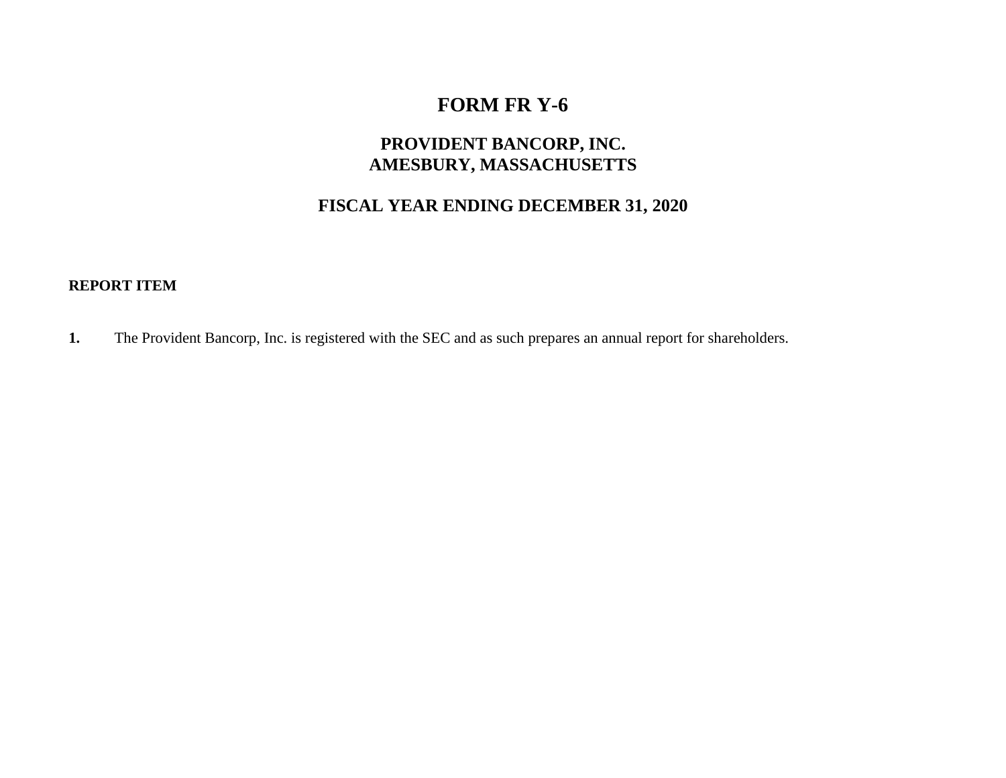## **FORM FR Y-6**

## **PROVIDENT BANCORP, INC. AMESBURY, MASSACHUSETTS**

## **FISCAL YEAR ENDING DECEMBER 31, 2020**

#### **REPORT ITEM**

**1.** The Provident Bancorp, Inc. is registered with the SEC and as such prepares an annual report for shareholders.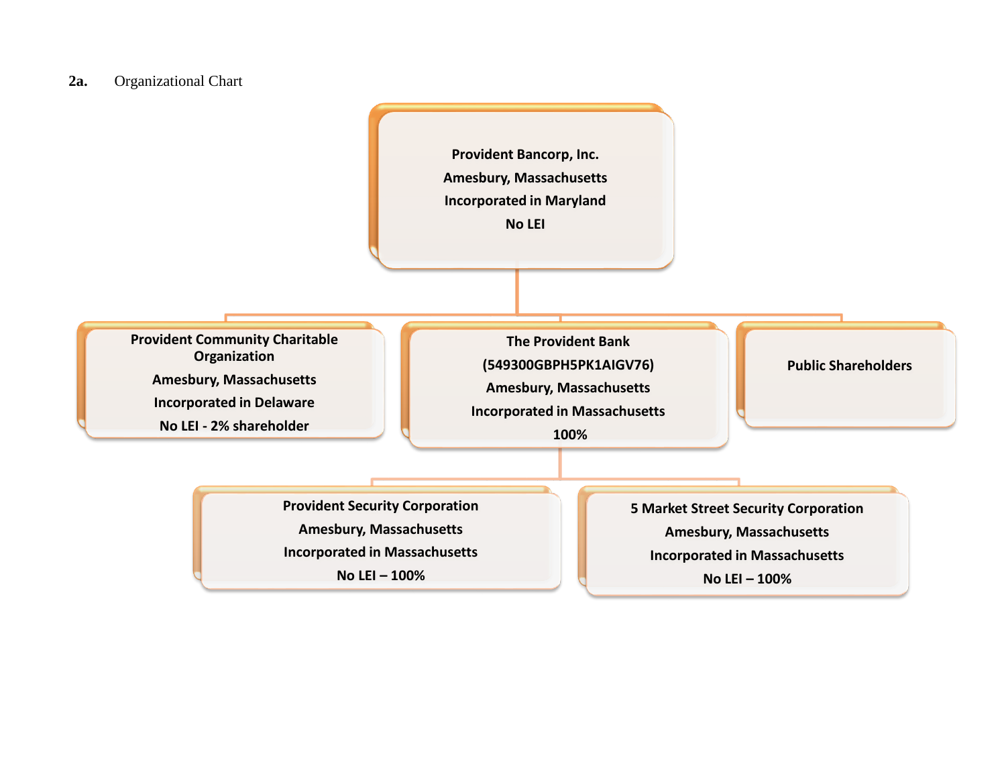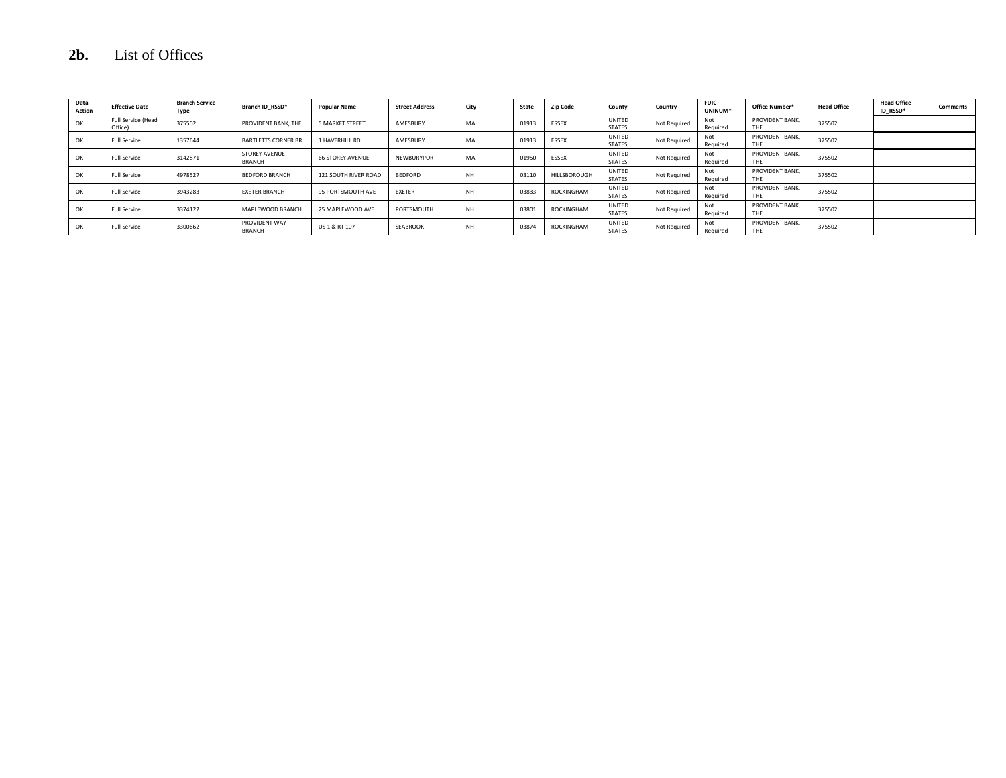## **2b.** List of Offices

| Data<br><b>Action</b> | <b>Effective Date</b>         | <b>Branch Service</b><br>Type | Branch ID RSSD*                       | <b>Popular Name</b>     | <b>Street Address</b> | City      | State | <b>Zip Code</b> | County                  | Country      | <b>FDIC</b><br>UNINUM* | Office Number*         | <b>Head Office</b> | <b>Head Office</b><br>ID RSSD* | <b>Comments</b> |
|-----------------------|-------------------------------|-------------------------------|---------------------------------------|-------------------------|-----------------------|-----------|-------|-----------------|-------------------------|--------------|------------------------|------------------------|--------------------|--------------------------------|-----------------|
| OK                    | Full Service (Head<br>Office) | 375502                        | PROVIDENT BANK, THE                   | 5 MARKET STREET         | AMESBURY              | MA        | 01913 | ESSEX           | UNITED<br><b>STATES</b> | Not Required | Not<br>Required        | PROVIDENT BANK.<br>THE | 375502             |                                |                 |
| OK                    | <b>Full Service</b>           | 1357644                       | <b>BARTLETTS CORNER BR</b>            | 1 HAVERHILL RD          | AMESBURY              | MA        | 01913 | ESSEX           | UNITED<br><b>STATES</b> | Not Required | Not<br>Required        | PROVIDENT BANK.<br>THE | 375502             |                                |                 |
| OK                    | <b>Full Service</b>           | 3142871                       | <b>STOREY AVENUE</b><br><b>BRANCH</b> | <b>66 STOREY AVENUE</b> | NEWBURYPORT           | MA        | 01950 | ESSEX           | UNITED<br><b>STATES</b> | Not Required | Not<br>Required        | PROVIDENT BANK.<br>THF | 375502             |                                |                 |
| OK                    | <b>Full Service</b>           | 4978527                       | <b>BEDEORD BRANCH</b>                 | 121 SOUTH RIVER ROAD    | <b>BEDFORD</b>        | <b>NH</b> | 03110 | HILLSBOROUGH    | UNITED<br><b>STATES</b> | Not Required | Not<br>Reguired        | PROVIDENT BANK.<br>THE | 375502             |                                |                 |
| OK                    | <b>Full Service</b>           | 3943283                       | <b>EXETER BRANCH</b>                  | 95 PORTSMOUTH AVE       | <b>EXETER</b>         | <b>NH</b> | 03833 | ROCKINGHAM      | UNITED<br><b>STATES</b> | Not Required | Not<br>Required        | PROVIDENT BANK<br>THF  | 375502             |                                |                 |
| OK                    | <b>Full Service</b>           | 3374122                       | MAPLEWOOD BRANCH                      | 25 MAPLEWOOD AVE        | PORTSMOUTH            |           | 0380  | ROCKINGHAM      | UNITED<br><b>STATES</b> | Not Required | Not<br>Required        | PROVIDENT BANK.<br>THE | 375502             |                                |                 |
| ОК                    | <b>Full Service</b>           | 3300662                       | PROVIDENT WAY<br><b>BRANCH</b>        | US 1 & RT 107           | SEABROOK              | <b>NH</b> | 03874 | ROCKINGHAM      | UNITED<br><b>STATES</b> | Not Required | Not<br>Required        | PROVIDENT BANK.<br>THE | 375502             |                                |                 |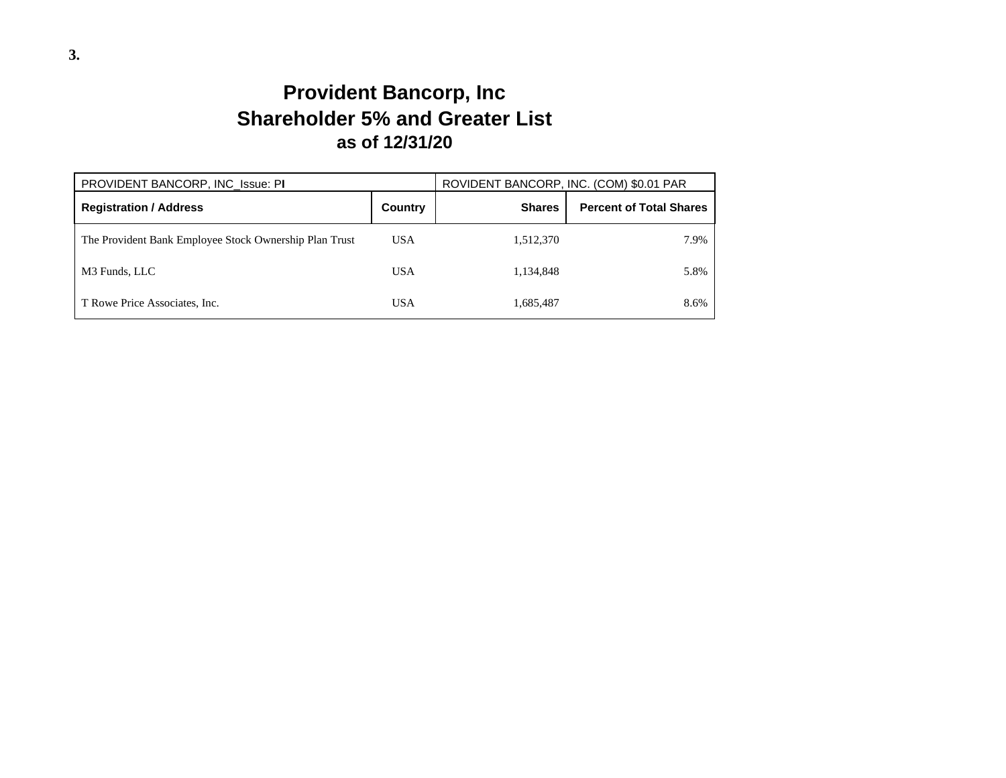# **Provident Bancorp, Inc Shareholder 5% and Greater List as of 12/31/20**

| PROVIDENT BANCORP, INC Issue: PI                       | ROVIDENT BANCORP, INC. (COM) \$0.01 PAR |               |                                |  |
|--------------------------------------------------------|-----------------------------------------|---------------|--------------------------------|--|
| <b>Registration / Address</b>                          | Country                                 | <b>Shares</b> | <b>Percent of Total Shares</b> |  |
| The Provident Bank Employee Stock Ownership Plan Trust | <b>USA</b>                              | 1,512,370     | 7.9%                           |  |
| M3 Funds, LLC                                          | <b>USA</b>                              | 1,134,848     | 5.8%                           |  |
| T Rowe Price Associates, Inc.                          | <b>USA</b>                              | 1,685,487     | 8.6%                           |  |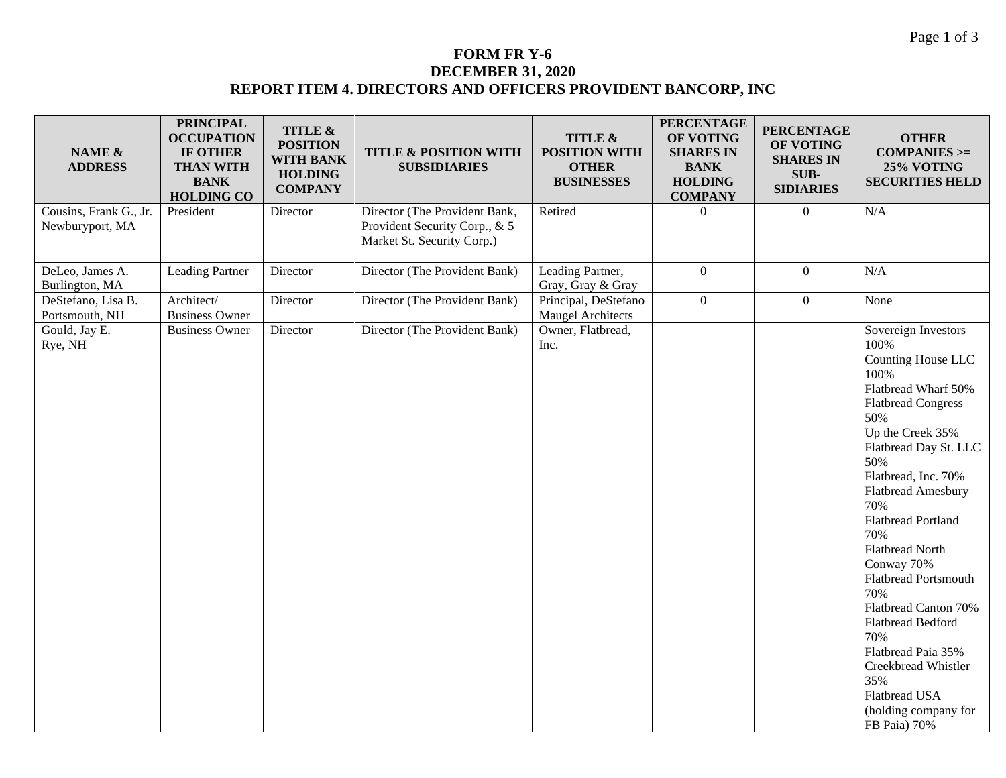#### **FORM FR Y-6 DECEMBER 31, 2020 REPORT ITEM 4. DIRECTORS AND OFFICERS PROVIDENT BANCORP, INC**

| NAME &<br><b>ADDRESS</b>                  | <b>PRINCIPAL</b><br><b>OCCUPATION</b><br>IF OTHER<br><b>THAN WITH</b><br><b>BANK</b><br><b>HOLDING CO</b> | TITLE &<br><b>POSITION</b><br><b>WITH BANK</b><br><b>HOLDING</b><br><b>COMPANY</b> | <b>TITLE &amp; POSITION WITH</b><br><b>SUBSIDIARIES</b>                                      | TITLE &<br><b>POSITION WITH</b><br><b>OTHER</b><br><b>BUSINESSES</b> | <b>PERCENTAGE</b><br>OF VOTING<br><b>SHARES IN</b><br><b>BANK</b><br><b>HOLDING</b><br><b>COMPANY</b> | <b>PERCENTAGE</b><br>OF VOTING<br><b>SHARES IN</b><br>SUB-<br><b>SIDIARIES</b> | <b>OTHER</b><br>$COMPANIES$ >=<br>25% VOTING<br><b>SECURITIES HELD</b>                                                                                                                                                                                                                                                                                                                                                                                                                                   |
|-------------------------------------------|-----------------------------------------------------------------------------------------------------------|------------------------------------------------------------------------------------|----------------------------------------------------------------------------------------------|----------------------------------------------------------------------|-------------------------------------------------------------------------------------------------------|--------------------------------------------------------------------------------|----------------------------------------------------------------------------------------------------------------------------------------------------------------------------------------------------------------------------------------------------------------------------------------------------------------------------------------------------------------------------------------------------------------------------------------------------------------------------------------------------------|
| Cousins, Frank G., Jr.<br>Newburyport, MA | President                                                                                                 | Director                                                                           | Director (The Provident Bank,<br>Provident Security Corp., & 5<br>Market St. Security Corp.) | Retired                                                              | $\Omega$                                                                                              | $\overline{0}$                                                                 | N/A                                                                                                                                                                                                                                                                                                                                                                                                                                                                                                      |
| DeLeo, James A.<br>Burlington, MA         | <b>Leading Partner</b>                                                                                    | Director                                                                           | Director (The Provident Bank)                                                                | Leading Partner,<br>Gray, Gray & Gray                                | $\overline{0}$                                                                                        | $\boldsymbol{0}$                                                               | N/A                                                                                                                                                                                                                                                                                                                                                                                                                                                                                                      |
| DeStefano, Lisa B.<br>Portsmouth, NH      | Architect/<br><b>Business Owner</b>                                                                       | Director                                                                           | Director (The Provident Bank)                                                                | Principal, DeStefano<br><b>Maugel Architects</b>                     | $\boldsymbol{0}$                                                                                      | $\boldsymbol{0}$                                                               | None                                                                                                                                                                                                                                                                                                                                                                                                                                                                                                     |
| Gould, Jay E.<br>Rye, NH                  | <b>Business Owner</b>                                                                                     | Director                                                                           | Director (The Provident Bank)                                                                | Owner, Flatbread,<br>Inc.                                            |                                                                                                       |                                                                                | Sovereign Investors<br>100%<br>Counting House LLC<br>100%<br>Flatbread Wharf 50%<br><b>Flatbread Congress</b><br>50%<br>Up the Creek 35%<br>Flatbread Day St. LLC<br>50%<br>Flatbread, Inc. 70%<br>Flatbread Amesbury<br>70%<br>Flatbread Portland<br>70%<br><b>Flatbread North</b><br>Conway 70%<br><b>Flatbread Portsmouth</b><br>70%<br>Flatbread Canton 70%<br>Flatbread Bedford<br>70%<br>Flatbread Paia 35%<br>Creekbread Whistler<br>35%<br>Flatbread USA<br>(holding company for<br>FB Paia) 70% |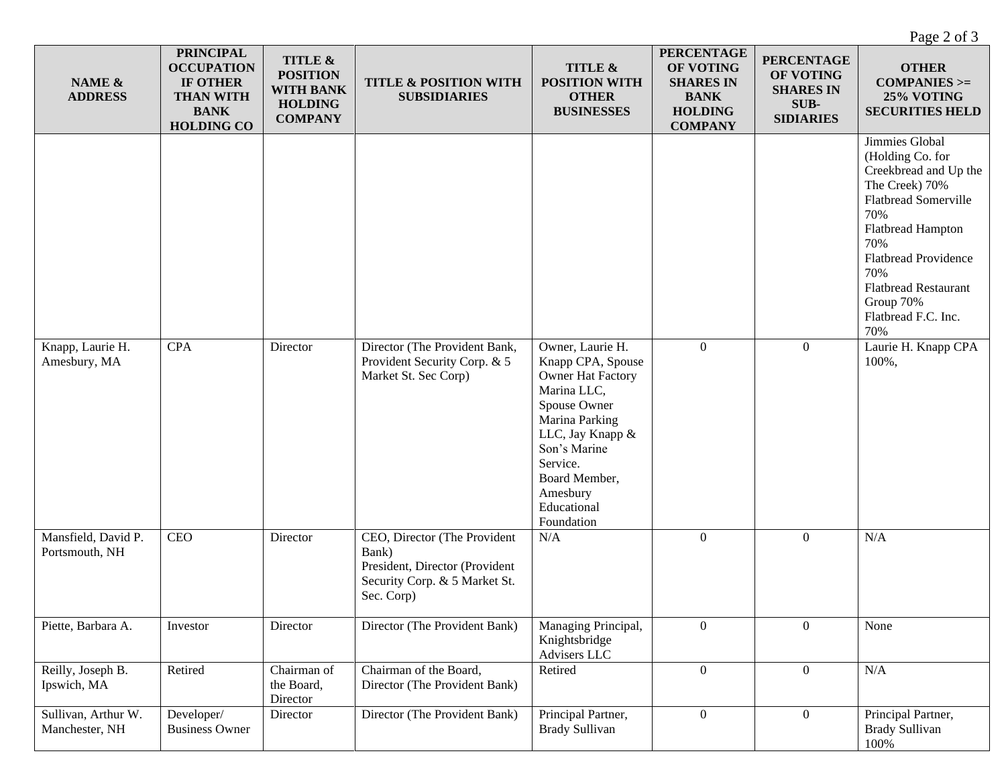Page 2 of 3

| NAME &<br><b>ADDRESS</b>              | <b>PRINCIPAL</b><br><b>OCCUPATION</b><br>IF OTHER<br><b>THAN WITH</b><br><b>BANK</b><br><b>HOLDING CO</b> | TITLE &<br><b>POSITION</b><br><b>WITH BANK</b><br><b>HOLDING</b><br><b>COMPANY</b> | TITLE & POSITION WITH<br><b>SUBSIDIARIES</b>                                                                           | TITLE &<br><b>POSITION WITH</b><br><b>OTHER</b><br><b>BUSINESSES</b>                                                                                                                                                         | <b>PERCENTAGE</b><br>OF VOTING<br><b>SHARES IN</b><br><b>BANK</b><br><b>HOLDING</b><br><b>COMPANY</b> | <b>PERCENTAGE</b><br>OF VOTING<br><b>SHARES IN</b><br>SUB-<br><b>SIDIARIES</b> | <b>OTHER</b><br>$COMPANIES$ >=<br>25% VOTING<br><b>SECURITIES HELD</b>                                                                                                                                                                                          |
|---------------------------------------|-----------------------------------------------------------------------------------------------------------|------------------------------------------------------------------------------------|------------------------------------------------------------------------------------------------------------------------|------------------------------------------------------------------------------------------------------------------------------------------------------------------------------------------------------------------------------|-------------------------------------------------------------------------------------------------------|--------------------------------------------------------------------------------|-----------------------------------------------------------------------------------------------------------------------------------------------------------------------------------------------------------------------------------------------------------------|
|                                       |                                                                                                           |                                                                                    |                                                                                                                        |                                                                                                                                                                                                                              |                                                                                                       |                                                                                | Jimmies Global<br>(Holding Co. for<br>Creekbread and Up the<br>The Creek) 70%<br><b>Flatbread Somerville</b><br>70%<br>Flatbread Hampton<br>70%<br><b>Flatbread Providence</b><br>70%<br><b>Flatbread Restaurant</b><br>Group 70%<br>Flatbread F.C. Inc.<br>70% |
| Knapp, Laurie H.<br>Amesbury, MA      | <b>CPA</b>                                                                                                | Director                                                                           | Director (The Provident Bank,<br>Provident Security Corp. & 5<br>Market St. Sec Corp)                                  | Owner, Laurie H.<br>Knapp CPA, Spouse<br><b>Owner Hat Factory</b><br>Marina LLC,<br>Spouse Owner<br>Marina Parking<br>LLC, Jay Knapp &<br>Son's Marine<br>Service.<br>Board Member,<br>Amesbury<br>Educational<br>Foundation | $\overline{0}$                                                                                        | $\overline{0}$                                                                 | Laurie H. Knapp CPA<br>100%,                                                                                                                                                                                                                                    |
| Mansfield, David P.<br>Portsmouth, NH | CEO                                                                                                       | Director                                                                           | CEO, Director (The Provident<br>Bank)<br>President, Director (Provident<br>Security Corp. & 5 Market St.<br>Sec. Corp) | N/A                                                                                                                                                                                                                          | $\overline{0}$                                                                                        | $\overline{0}$                                                                 | N/A                                                                                                                                                                                                                                                             |
| Piette, Barbara A.                    | Investor                                                                                                  | Director                                                                           | Director (The Provident Bank)                                                                                          | Managing Principal,<br>Knightsbridge<br>Advisers LLC                                                                                                                                                                         | $\overline{0}$                                                                                        | $\overline{0}$                                                                 | None                                                                                                                                                                                                                                                            |
| Reilly, Joseph B.<br>Ipswich, MA      | Retired                                                                                                   | Chairman of<br>the Board,<br>Director                                              | Chairman of the Board,<br>Director (The Provident Bank)                                                                | Retired                                                                                                                                                                                                                      | $\overline{0}$                                                                                        | $\boldsymbol{0}$                                                               | $\rm N/A$                                                                                                                                                                                                                                                       |
| Sullivan, Arthur W.<br>Manchester, NH | Developer/<br><b>Business Owner</b>                                                                       | Director                                                                           | Director (The Provident Bank)                                                                                          | Principal Partner,<br><b>Brady Sullivan</b>                                                                                                                                                                                  | $\overline{0}$                                                                                        | $\boldsymbol{0}$                                                               | Principal Partner,<br><b>Brady Sullivan</b><br>100%                                                                                                                                                                                                             |